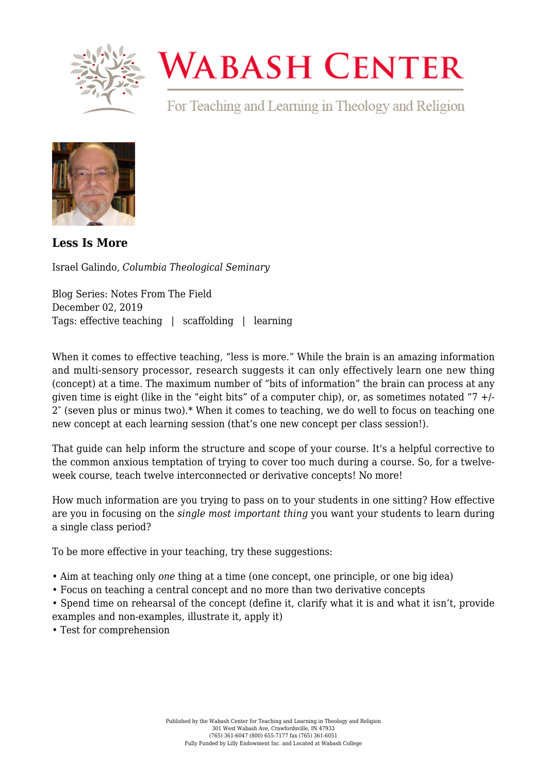

## **WABASH CENTER**

For Teaching and Learning in Theology and Religion



**[Less Is More](https://www.wabashcenter.wabash.edu/2019/12/less-is-more/)**

Israel Galindo, *Columbia Theological Seminary*

Blog Series: Notes From The Field December 02, 2019 Tags: effective teaching | scaffolding | learning

When it comes to effective teaching, "less is more." While the brain is an amazing information and multi-sensory processor, research suggests it can only effectively learn one new thing (concept) at a time. The maximum number of "bits of information" the brain can process at any given time is eight (like in the "eight bits" of a computer chip), or, as sometimes notated "7  $+/-$ 2″ (seven plus or minus two).\* When it comes to teaching, we do well to focus on teaching one new concept at each learning session (that's one new concept per class session!).

That guide can help inform the structure and scope of your course. It's a helpful corrective to the common anxious temptation of trying to cover too much during a course. So, for a twelveweek course, teach twelve interconnected or derivative concepts! No more!

How much information are you trying to pass on to your students in one sitting? How effective are you in focusing on the *single most important thing* you want your students to learn during a single class period?

To be more effective in your teaching, try these suggestions:

- Aim at teaching only *one* thing at a time (one concept, one principle, or one big idea)
- Focus on teaching a central concept and no more than two derivative concepts

• Spend time on rehearsal of the concept (define it, clarify what it is and what it isn't, provide examples and non-examples, illustrate it, apply it)

• Test for comprehension